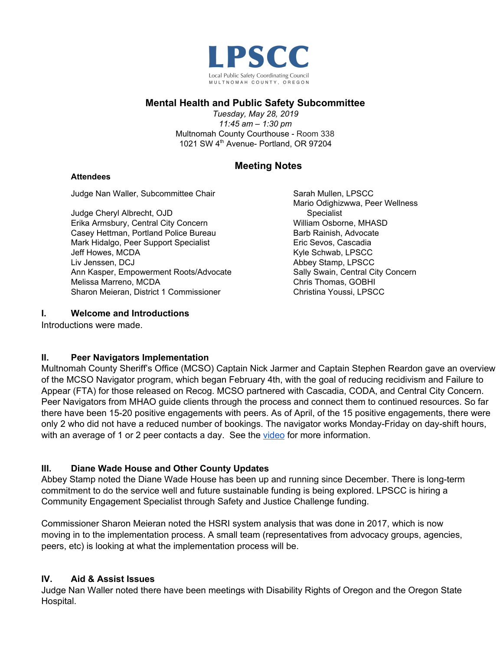

# **Mental Health and Public Safety Subcommittee**

*Tuesday, May 28, 2019 11:45 am – 1:30 pm* Multnomah County Courthouse - Room 338 1021 SW 4<sup>th</sup> Avenue- Portland, OR 97204

# **Meeting Notes**

#### **Attendees**

Judge Nan Waller, Subcommittee Chair

Judge Cheryl Albrecht, OJD Erika Armsbury, Central City Concern Casey Hettman, Portland Police Bureau Mark Hidalgo, Peer Support Specialist Jeff Howes, MCDA Liv Jenssen, DCJ Ann Kasper, Empowerment Roots/Advocate Melissa Marreno, MCDA Sharon Meieran, District 1 Commissioner

Sarah Mullen, LPSCC Mario Odighizwwa, Peer Wellness Specialist William Osborne, MHASD Barb Rainish, Advocate Eric Sevos, Cascadia Kyle Schwab, LPSCC Abbey Stamp, LPSCC Sally Swain, Central City Concern Chris Thomas, GOBHI Christina Youssi, LPSCC

### **I. Welcome and Introductions**

Introductions were made.

## **II. Peer Navigators Implementation**

Multnomah County Sheriff's Office (MCSO) Captain Nick Jarmer and Captain Stephen Reardon gave an overview of the MCSO Navigator program, which began February 4th, with the goal of reducing recidivism and Failure to Appear (FTA) for those released on Recog. MCSO partnered with Cascadia, CODA, and Central City Concern. Peer Navigators from MHAO guide clients through the process and connect them to continued resources. So far there have been 15-20 positive engagements with peers. As of April, of the 15 positive engagements, there were only 2 who did not have a reduced number of bookings. The navigator works Monday-Friday on day-shift hours, with an average of 1 or 2 peer contacts a day. See the [video](https://vimeo.com/336114697) for more information.

## **III. Diane Wade House and Other County Updates**

Abbey Stamp noted the Diane Wade House has been up and running since December. There is long-term commitment to do the service well and future sustainable funding is being explored. LPSCC is hiring a Community Engagement Specialist through Safety and Justice Challenge funding.

Commissioner Sharon Meieran noted the HSRI system analysis that was done in 2017, which is now moving in to the implementation process. A small team (representatives from advocacy groups, agencies, peers, etc) is looking at what the implementation process will be.

## **IV. Aid & Assist Issues**

Judge Nan Waller noted there have been meetings with Disability Rights of Oregon and the Oregon State Hospital.